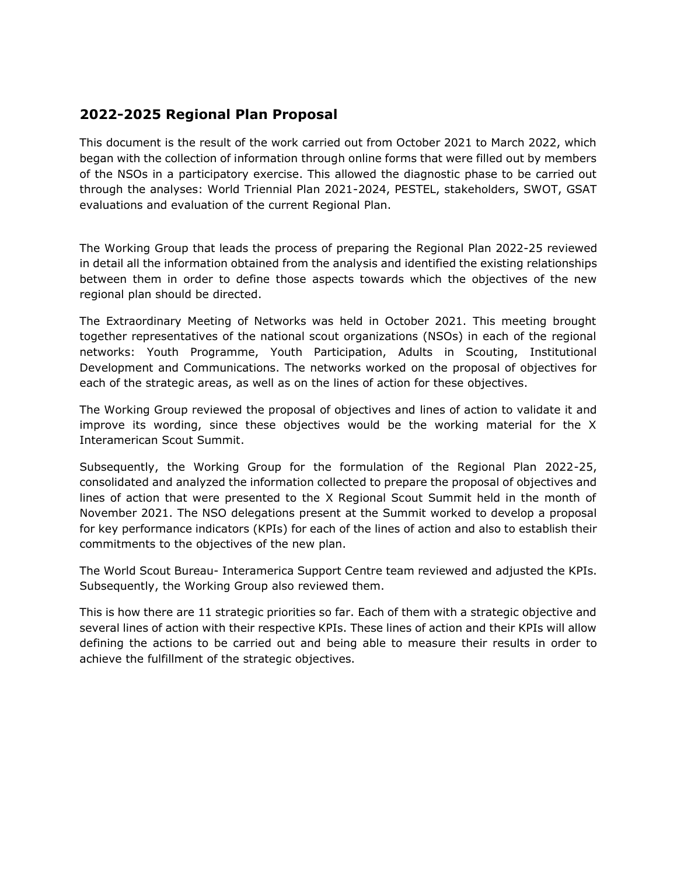## **2022-2025 Regional Plan Proposal**

This document is the result of the work carried out from October 2021 to March 2022, which began with the collection of information through online forms that were filled out by members of the NSOs in a participatory exercise. This allowed the diagnostic phase to be carried out through the analyses: World Triennial Plan 2021-2024, PESTEL, stakeholders, SWOT, GSAT evaluations and evaluation of the current Regional Plan.

The Working Group that leads the process of preparing the Regional Plan 2022-25 reviewed in detail all the information obtained from the analysis and identified the existing relationships between them in order to define those aspects towards which the objectives of the new regional plan should be directed.

The Extraordinary Meeting of Networks was held in October 2021. This meeting brought together representatives of the national scout organizations (NSOs) in each of the regional networks: Youth Programme, Youth Participation, Adults in Scouting, Institutional Development and Communications. The networks worked on the proposal of objectives for each of the strategic areas, as well as on the lines of action for these objectives.

The Working Group reviewed the proposal of objectives and lines of action to validate it and improve its wording, since these objectives would be the working material for the X Interamerican Scout Summit.

Subsequently, the Working Group for the formulation of the Regional Plan 2022-25, consolidated and analyzed the information collected to prepare the proposal of objectives and lines of action that were presented to the X Regional Scout Summit held in the month of November 2021. The NSO delegations present at the Summit worked to develop a proposal for key performance indicators (KPIs) for each of the lines of action and also to establish their commitments to the objectives of the new plan.

The World Scout Bureau- Interamerica Support Centre team reviewed and adjusted the KPIs. Subsequently, the Working Group also reviewed them.

This is how there are 11 strategic priorities so far. Each of them with a strategic objective and several lines of action with their respective KPIs. These lines of action and their KPIs will allow defining the actions to be carried out and being able to measure their results in order to achieve the fulfillment of the strategic objectives.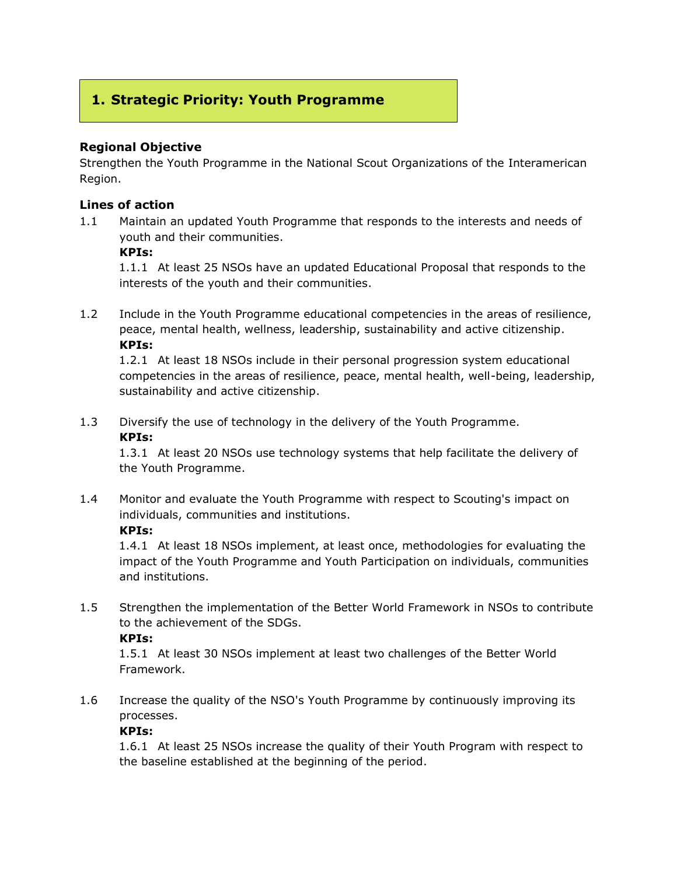# **1. Strategic Priority: Youth Programme**

## **Regional Objective**

Strengthen the Youth Programme in the National Scout Organizations of the Interamerican Region.

### **Lines of action**

1.1 Maintain an updated Youth Programme that responds to the interests and needs of youth and their communities.

#### **KPIs:**

1.1.1 At least 25 NSOs have an updated Educational Proposal that responds to the interests of the youth and their communities.

1.2 Include in the Youth Programme educational competencies in the areas of resilience, peace, mental health, wellness, leadership, sustainability and active citizenship. **KPIs:**

1.2.1 At least 18 NSOs include in their personal progression system educational competencies in the areas of resilience, peace, mental health, well-being, leadership, sustainability and active citizenship.

1.3 Diversify the use of technology in the delivery of the Youth Programme. **KPIs:**

1.3.1 At least 20 NSOs use technology systems that help facilitate the delivery of the Youth Programme.

1.4 Monitor and evaluate the Youth Programme with respect to Scouting's impact on individuals, communities and institutions.

### **KPIs:**

1.4.1 At least 18 NSOs implement, at least once, methodologies for evaluating the impact of the Youth Programme and Youth Participation on individuals, communities and institutions.

1.5 Strengthen the implementation of the Better World Framework in NSOs to contribute to the achievement of the SDGs.

### **KPIs:**

1.5.1 At least 30 NSOs implement at least two challenges of the Better World Framework.

1.6 Increase the quality of the NSO's Youth Programme by continuously improving its processes.

## **KPIs:**

1.6.1 At least 25 NSOs increase the quality of their Youth Program with respect to the baseline established at the beginning of the period.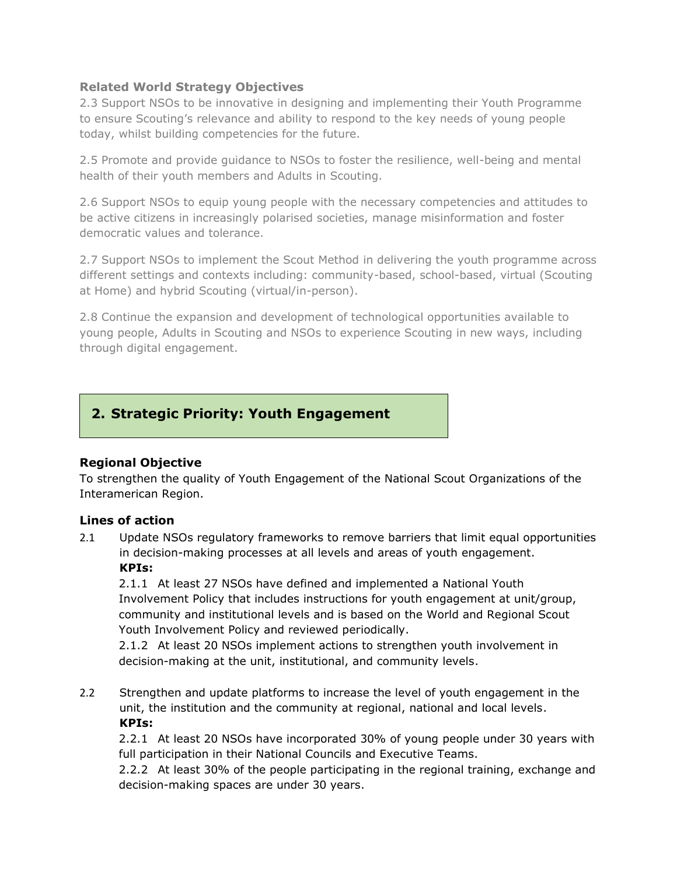## **Related World Strategy Objectives**

2.3 Support NSOs to be innovative in designing and implementing their Youth Programme to ensure Scouting's relevance and ability to respond to the key needs of young people today, whilst building competencies for the future.

2.5 Promote and provide guidance to NSOs to foster the resilience, well-being and mental health of their youth members and Adults in Scouting.

2.6 Support NSOs to equip young people with the necessary competencies and attitudes to be active citizens in increasingly polarised societies, manage misinformation and foster democratic values and tolerance.

2.7 Support NSOs to implement the Scout Method in delivering the youth programme across different settings and contexts including: community-based, school-based, virtual (Scouting at Home) and hybrid Scouting (virtual/in-person).

2.8 Continue the expansion and development of technological opportunities available to young people, Adults in Scouting and NSOs to experience Scouting in new ways, including through digital engagement.

## **2. Strategic Priority: Youth Engagement**

## **Regional Objective**

To strengthen the quality of Youth Engagement of the National Scout Organizations of the Interamerican Region.

### **Lines of action**

2.1 Update NSOs regulatory frameworks to remove barriers that limit equal opportunities in decision-making processes at all levels and areas of youth engagement. **KPIs:**

2.1.1 At least 27 NSOs have defined and implemented a National Youth Involvement Policy that includes instructions for youth engagement at unit/group, community and institutional levels and is based on the World and Regional Scout Youth Involvement Policy and reviewed periodically.

2.1.2 At least 20 NSOs implement actions to strengthen youth involvement in decision-making at the unit, institutional, and community levels.

2.2 Strengthen and update platforms to increase the level of youth engagement in the unit, the institution and the community at regional, national and local levels. **KPIs:**

2.2.1 At least 20 NSOs have incorporated 30% of young people under 30 years with full participation in their National Councils and Executive Teams.

2.2.2 At least 30% of the people participating in the regional training, exchange and decision-making spaces are under 30 years.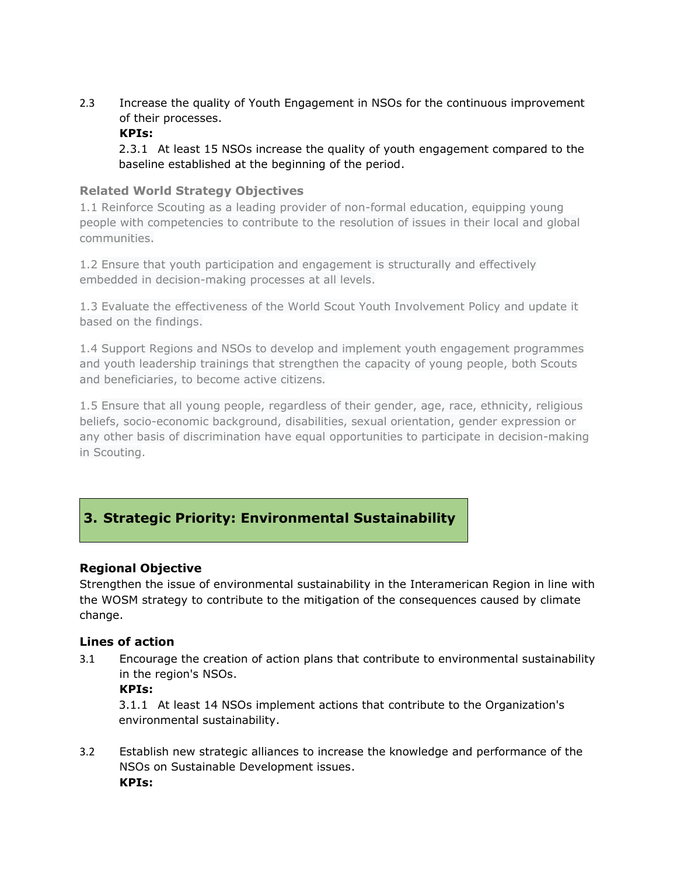2.3 Increase the quality of Youth Engagement in NSOs for the continuous improvement of their processes.

## **KPIs:**

2.3.1 At least 15 NSOs increase the quality of youth engagement compared to the baseline established at the beginning of the period.

## **Related World Strategy Objectives**

1.1 Reinforce Scouting as a leading provider of non-formal education, equipping young people with competencies to contribute to the resolution of issues in their local and global communities.

1.2 Ensure that youth participation and engagement is structurally and effectively embedded in decision-making processes at all levels.

1.3 Evaluate the effectiveness of the World Scout Youth Involvement Policy and update it based on the findings.

1.4 Support Regions and NSOs to develop and implement youth engagement programmes and youth leadership trainings that strengthen the capacity of young people, both Scouts and beneficiaries, to become active citizens.

1.5 Ensure that all young people, regardless of their gender, age, race, ethnicity, religious beliefs, socio-economic background, disabilities, sexual orientation, gender expression or any other basis of discrimination have equal opportunities to participate in decision-making in Scouting.

# **3. Strategic Priority: Environmental Sustainability**

## **Regional Objective**

Strengthen the issue of environmental sustainability in the Interamerican Region in line with the WOSM strategy to contribute to the mitigation of the consequences caused by climate change.

### **Lines of action**

3.1 Encourage the creation of action plans that contribute to environmental sustainability in the region's NSOs.

### **KPIs:**

3.1.1 At least 14 NSOs implement actions that contribute to the Organization's environmental sustainability.

3.2 Establish new strategic alliances to increase the knowledge and performance of the NSOs on Sustainable Development issues. **KPIs:**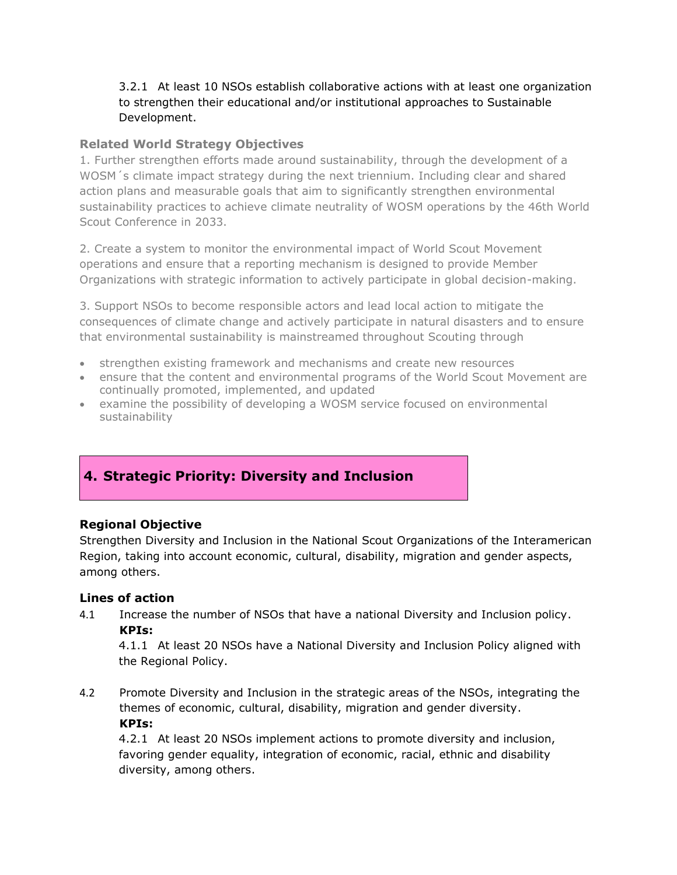## 3.2.1 At least 10 NSOs establish collaborative actions with at least one organization to strengthen their educational and/or institutional approaches to Sustainable Development.

## **Related World Strategy Objectives**

1. Further strengthen efforts made around sustainability, through the development of a WOSM´s climate impact strategy during the next triennium. Including clear and shared action plans and measurable goals that aim to significantly strengthen environmental sustainability practices to achieve climate neutrality of WOSM operations by the 46th World Scout Conference in 2033.

2. Create a system to monitor the environmental impact of World Scout Movement operations and ensure that a reporting mechanism is designed to provide Member Organizations with strategic information to actively participate in global decision-making.

3. Support NSOs to become responsible actors and lead local action to mitigate the consequences of climate change and actively participate in natural disasters and to ensure that environmental sustainability is mainstreamed throughout Scouting through

- strengthen existing framework and mechanisms and create new resources
- ensure that the content and environmental programs of the World Scout Movement are continually promoted, implemented, and updated
- examine the possibility of developing a WOSM service focused on environmental sustainability

## **4. Strategic Priority: Diversity and Inclusion**

## **Regional Objective**

Strengthen Diversity and Inclusion in the National Scout Organizations of the Interamerican Region, taking into account economic, cultural, disability, migration and gender aspects, among others.

### **Lines of action**

4.1 Increase the number of NSOs that have a national Diversity and Inclusion policy. **KPIs:**

4.1.1 At least 20 NSOs have a National Diversity and Inclusion Policy aligned with the Regional Policy.

4.2 Promote Diversity and Inclusion in the strategic areas of the NSOs, integrating the themes of economic, cultural, disability, migration and gender diversity. **KPIs:**

4.2.1 At least 20 NSOs implement actions to promote diversity and inclusion, favoring gender equality, integration of economic, racial, ethnic and disability diversity, among others.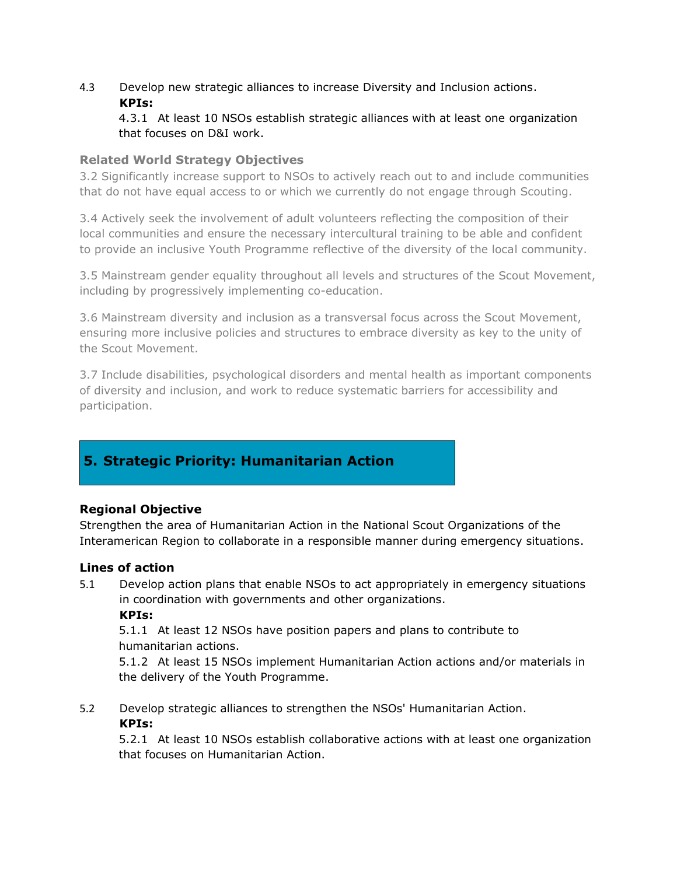## 4.3 Develop new strategic alliances to increase Diversity and Inclusion actions. **KPIs:**

## 4.3.1 At least 10 NSOs establish strategic alliances with at least one organization that focuses on D&I work.

## **Related World Strategy Objectives**

3.2 Significantly increase support to NSOs to actively reach out to and include communities that do not have equal access to or which we currently do not engage through Scouting.

3.4 Actively seek the involvement of adult volunteers reflecting the composition of their local communities and ensure the necessary intercultural training to be able and confident to provide an inclusive Youth Programme reflective of the diversity of the local community.

3.5 Mainstream gender equality throughout all levels and structures of the Scout Movement, including by progressively implementing co-education.

3.6 Mainstream diversity and inclusion as a transversal focus across the Scout Movement, ensuring more inclusive policies and structures to embrace diversity as key to the unity of the Scout Movement.

3.7 Include disabilities, psychological disorders and mental health as important components of diversity and inclusion, and work to reduce systematic barriers for accessibility and participation.

# **5. Strategic Priority: Humanitarian Action**

### **Regional Objective**

Strengthen the area of Humanitarian Action in the National Scout Organizations of the Interamerican Region to collaborate in a responsible manner during emergency situations.

### **Lines of action**

5.1 Develop action plans that enable NSOs to act appropriately in emergency situations in coordination with governments and other organizations. **KPIs:**

5.1.1 At least 12 NSOs have position papers and plans to contribute to humanitarian actions.

5.1.2 At least 15 NSOs implement Humanitarian Action actions and/or materials in the delivery of the Youth Programme.

5.2 Develop strategic alliances to strengthen the NSOs' Humanitarian Action. **KPIs:**

5.2.1 At least 10 NSOs establish collaborative actions with at least one organization that focuses on Humanitarian Action.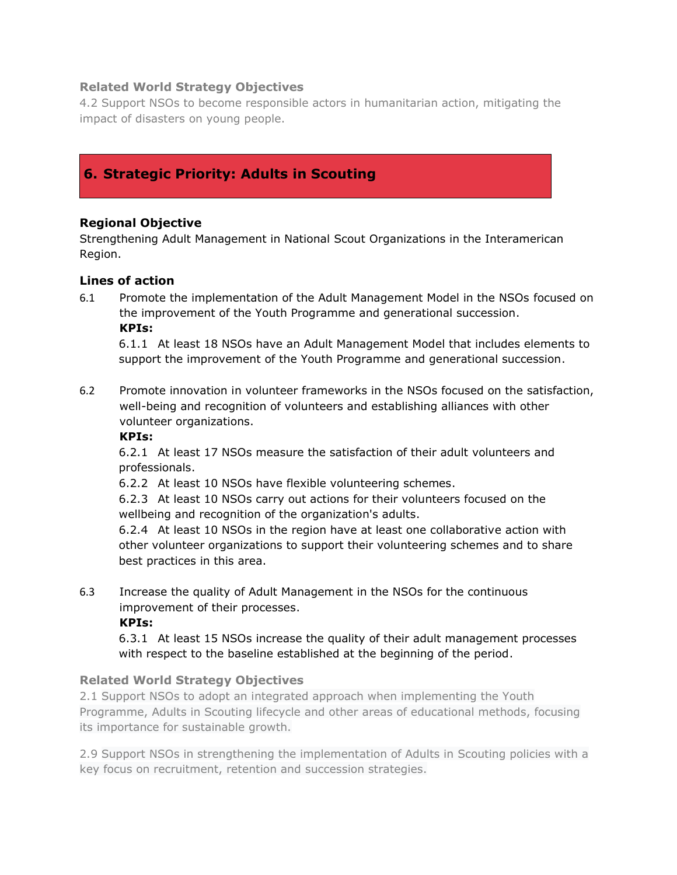## **Related World Strategy Objectives**

4.2 Support NSOs to become responsible actors in humanitarian action, mitigating the impact of disasters on young people.

## **6. Strategic Priority: Adults in Scouting**

## **Regional Objective**

Strengthening Adult Management in National Scout Organizations in the Interamerican Region.

### **Lines of action**

6.1 Promote the implementation of the Adult Management Model in the NSOs focused on the improvement of the Youth Programme and generational succession. **KPIs:**

6.1.1 At least 18 NSOs have an Adult Management Model that includes elements to support the improvement of the Youth Programme and generational succession.

6.2 Promote innovation in volunteer frameworks in the NSOs focused on the satisfaction, well-being and recognition of volunteers and establishing alliances with other volunteer organizations.

### **KPIs:**

6.2.1 At least 17 NSOs measure the satisfaction of their adult volunteers and professionals.

6.2.2 At least 10 NSOs have flexible volunteering schemes.

6.2.3 At least 10 NSOs carry out actions for their volunteers focused on the wellbeing and recognition of the organization's adults.

6.2.4 At least 10 NSOs in the region have at least one collaborative action with other volunteer organizations to support their volunteering schemes and to share best practices in this area.

6.3 Increase the quality of Adult Management in the NSOs for the continuous improvement of their processes.

**KPIs:**

6.3.1 At least 15 NSOs increase the quality of their adult management processes with respect to the baseline established at the beginning of the period.

## **Related World Strategy Objectives**

2.1 Support NSOs to adopt an integrated approach when implementing the Youth Programme, Adults in Scouting lifecycle and other areas of educational methods, focusing its importance for sustainable growth.

2.9 Support NSOs in strengthening the implementation of Adults in Scouting policies with a key focus on recruitment, retention and succession strategies.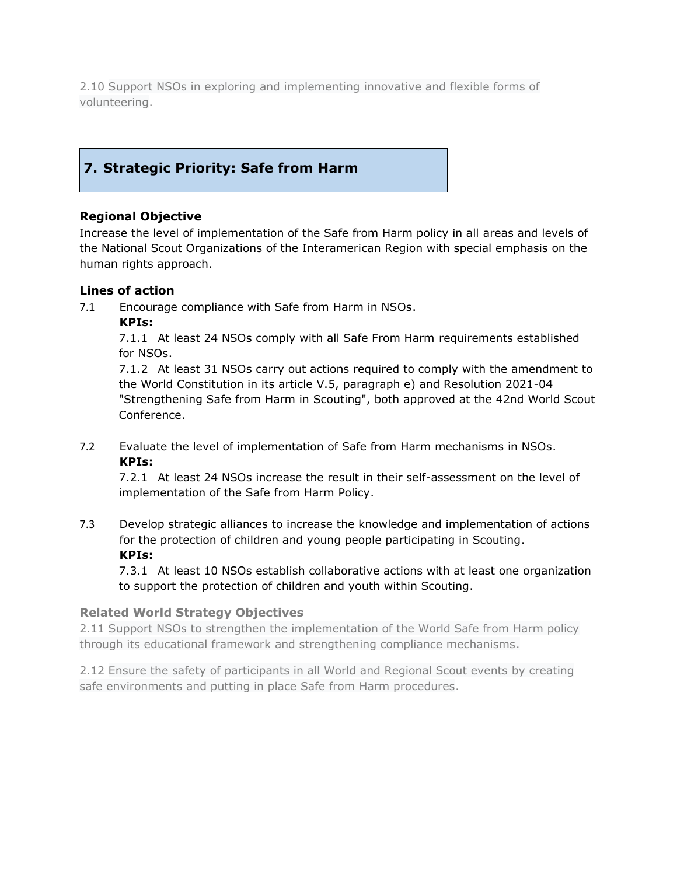2.10 Support NSOs in exploring and implementing innovative and flexible forms of volunteering.

# **7. Strategic Priority: Safe from Harm**

## **Regional Objective**

Increase the level of implementation of the Safe from Harm policy in all areas and levels of the National Scout Organizations of the Interamerican Region with special emphasis on the human rights approach.

### **Lines of action**

7.1 Encourage compliance with Safe from Harm in NSOs.

**KPIs:**

7.1.1 At least 24 NSOs comply with all Safe From Harm requirements established for NSOs.

7.1.2 At least 31 NSOs carry out actions required to comply with the amendment to the World Constitution in its article V.5, paragraph e) and Resolution 2021-04 "Strengthening Safe from Harm in Scouting", both approved at the 42nd World Scout Conference.

7.2 Evaluate the level of implementation of Safe from Harm mechanisms in NSOs. **KPIs:**

7.2.1 At least 24 NSOs increase the result in their self-assessment on the level of implementation of the Safe from Harm Policy.

7.3 Develop strategic alliances to increase the knowledge and implementation of actions for the protection of children and young people participating in Scouting. **KPIs:**

7.3.1 At least 10 NSOs establish collaborative actions with at least one organization to support the protection of children and youth within Scouting.

### **Related World Strategy Objectives**

2.11 Support NSOs to strengthen the implementation of the World Safe from Harm policy through its educational framework and strengthening compliance mechanisms.

2.12 Ensure the safety of participants in all World and Regional Scout events by creating safe environments and putting in place Safe from Harm procedures.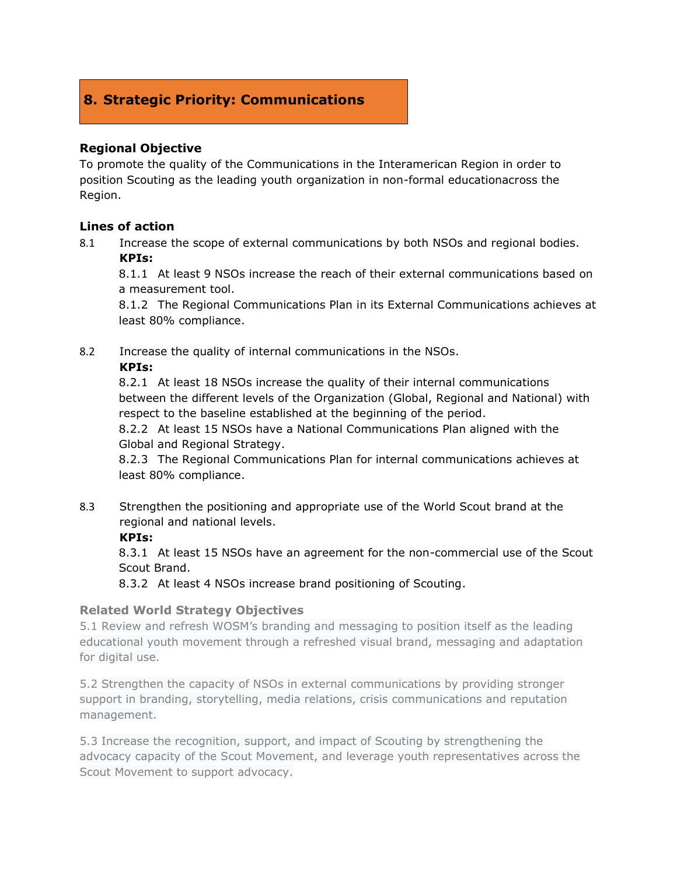## **8. Strategic Priority: Communications**

## **Regional Objective**

To promote the quality of the Communications in the Interamerican Region in order to position Scouting as the leading youth organization in non-formal educationacross the Region.

### **Lines of action**

8.1 Increase the scope of external communications by both NSOs and regional bodies. **KPIs:**

8.1.1 At least 9 NSOs increase the reach of their external communications based on a measurement tool.

8.1.2 The Regional Communications Plan in its External Communications achieves at least 80% compliance.

8.2 Increase the quality of internal communications in the NSOs.

### **KPIs:**

8.2.1 At least 18 NSOs increase the quality of their internal communications between the different levels of the Organization (Global, Regional and National) with respect to the baseline established at the beginning of the period.

8.2.2 At least 15 NSOs have a National Communications Plan aligned with the Global and Regional Strategy.

8.2.3 The Regional Communications Plan for internal communications achieves at least 80% compliance.

8.3 Strengthen the positioning and appropriate use of the World Scout brand at the regional and national levels.

## **KPIs:**

8.3.1 At least 15 NSOs have an agreement for the non-commercial use of the Scout Scout Brand.

8.3.2 At least 4 NSOs increase brand positioning of Scouting.

### **Related World Strategy Objectives**

5.1 Review and refresh WOSM's branding and messaging to position itself as the leading educational youth movement through a refreshed visual brand, messaging and adaptation for digital use.

5.2 Strengthen the capacity of NSOs in external communications by providing stronger support in branding, storytelling, media relations, crisis communications and reputation management.

5.3 Increase the recognition, support, and impact of Scouting by strengthening the advocacy capacity of the Scout Movement, and leverage youth representatives across the Scout Movement to support advocacy.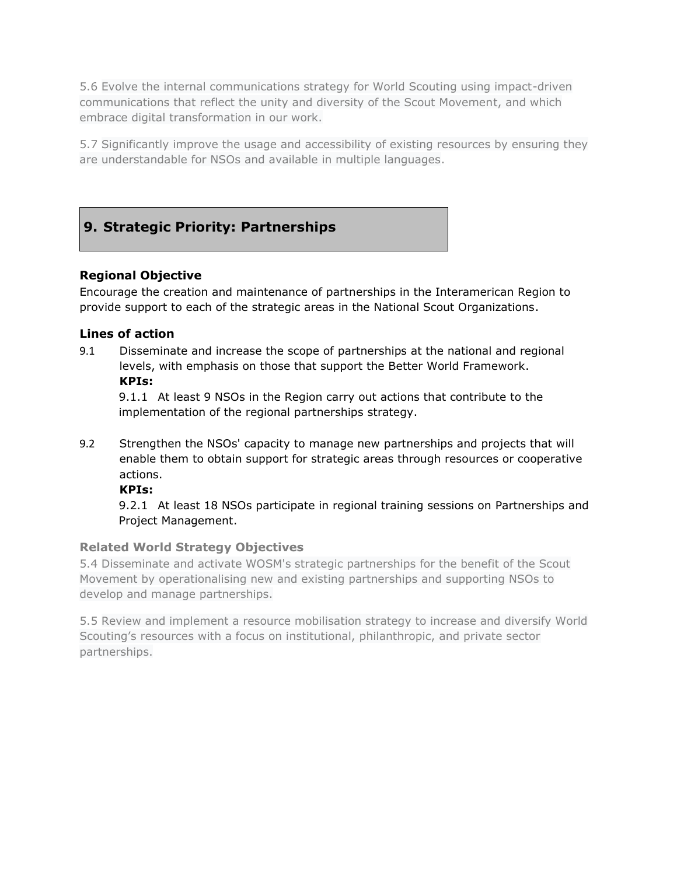5.6 Evolve the internal communications strategy for World Scouting using impact-driven communications that reflect the unity and diversity of the Scout Movement, and which embrace digital transformation in our work.

5.7 Significantly improve the usage and accessibility of existing resources by ensuring they are understandable for NSOs and available in multiple languages.

# **9. Strategic Priority: Partnerships**

## **Regional Objective**

Encourage the creation and maintenance of partnerships in the Interamerican Region to provide support to each of the strategic areas in the National Scout Organizations.

## **Lines of action**

9.1 Disseminate and increase the scope of partnerships at the national and regional levels, with emphasis on those that support the Better World Framework. **KPIs:**

9.1.1 At least 9 NSOs in the Region carry out actions that contribute to the implementation of the regional partnerships strategy.

9.2 Strengthen the NSOs' capacity to manage new partnerships and projects that will enable them to obtain support for strategic areas through resources or cooperative actions.

### **KPIs:**

9.2.1 At least 18 NSOs participate in regional training sessions on Partnerships and Project Management.

### **Related World Strategy Objectives**

5.4 Disseminate and activate WOSM's strategic partnerships for the benefit of the Scout Movement by operationalising new and existing partnerships and supporting NSOs to develop and manage partnerships.

5.5 Review and implement a resource mobilisation strategy to increase and diversify World Scouting's resources with a focus on institutional, philanthropic, and private sector partnerships.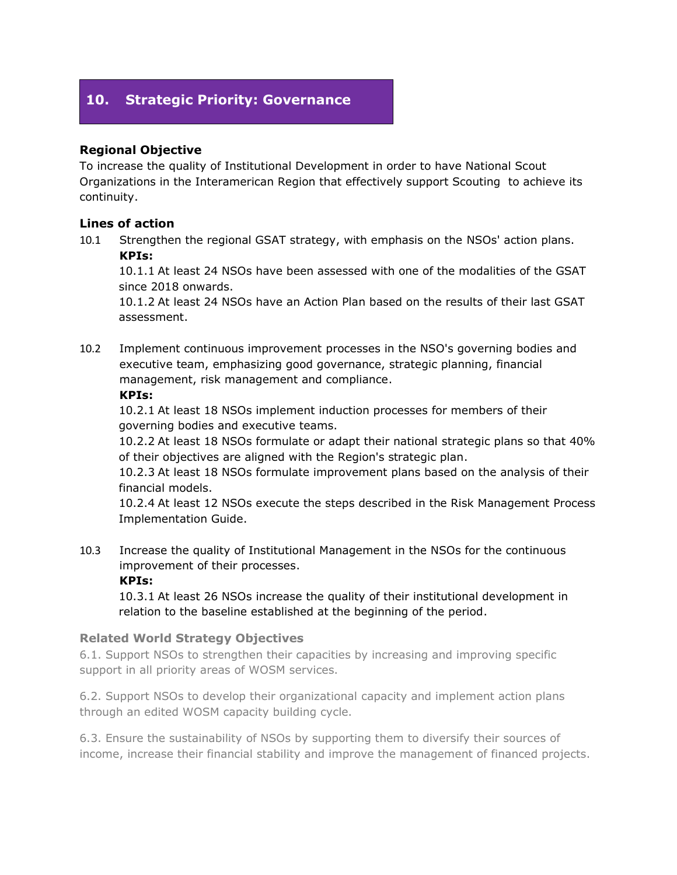## **10. Strategic Priority: Governance**

## **Regional Objective**

To increase the quality of Institutional Development in order to have National Scout Organizations in the Interamerican Region that effectively support Scouting to achieve its continuity.

### **Lines of action**

10.1 Strengthen the regional GSAT strategy, with emphasis on the NSOs' action plans. **KPIs:**

10.1.1 At least 24 NSOs have been assessed with one of the modalities of the GSAT since 2018 onwards.

10.1.2 At least 24 NSOs have an Action Plan based on the results of their last GSAT assessment.

10.2 Implement continuous improvement processes in the NSO's governing bodies and executive team, emphasizing good governance, strategic planning, financial management, risk management and compliance.

#### **KPIs:**

10.2.1 At least 18 NSOs implement induction processes for members of their governing bodies and executive teams.

10.2.2 At least 18 NSOs formulate or adapt their national strategic plans so that 40% of their objectives are aligned with the Region's strategic plan.

10.2.3 At least 18 NSOs formulate improvement plans based on the analysis of their financial models.

10.2.4 At least 12 NSOs execute the steps described in the Risk Management Process Implementation Guide.

10.3 Increase the quality of Institutional Management in the NSOs for the continuous improvement of their processes.

**KPIs:**

10.3.1 At least 26 NSOs increase the quality of their institutional development in relation to the baseline established at the beginning of the period.

### **Related World Strategy Objectives**

6.1. Support NSOs to strengthen their capacities by increasing and improving specific support in all priority areas of WOSM services.

6.2. Support NSOs to develop their organizational capacity and implement action plans through an edited WOSM capacity building cycle.

6.3. Ensure the sustainability of NSOs by supporting them to diversify their sources of income, increase their financial stability and improve the management of financed projects.